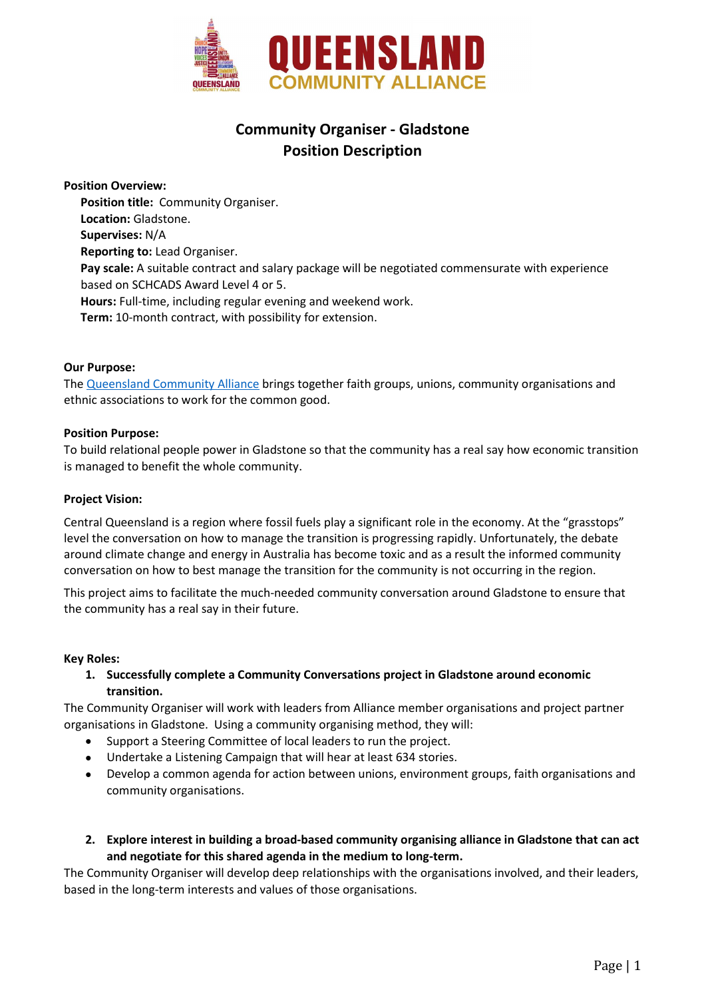

# Community Organiser - Gladstone Position Description

Position Overview:

Position title: Community Organiser. Location: Gladstone. Supervises: N/A Reporting to: Lead Organiser. Pay scale: A suitable contract and salary package will be negotiated commensurate with experience based on SCHCADS Award Level 4 or 5. Hours: Full-time, including regular evening and weekend work. Term: 10-month contract, with possibility for extension.

## Our Purpose:

The Queensland Community Alliance brings together faith groups, unions, community organisations and ethnic associations to work for the common good.

## Position Purpose:

To build relational people power in Gladstone so that the community has a real say how economic transition is managed to benefit the whole community.

#### Project Vision:

Central Queensland is a region where fossil fuels play a significant role in the economy. At the "grasstops" level the conversation on how to manage the transition is progressing rapidly. Unfortunately, the debate around climate change and energy in Australia has become toxic and as a result the informed community conversation on how to best manage the transition for the community is not occurring in the region.

This project aims to facilitate the much-needed community conversation around Gladstone to ensure that the community has a real say in their future.

#### Key Roles:

1. Successfully complete a Community Conversations project in Gladstone around economic transition.

The Community Organiser will work with leaders from Alliance member organisations and project partner organisations in Gladstone. Using a community organising method, they will:

- Support a Steering Committee of local leaders to run the project.
- Undertake a Listening Campaign that will hear at least 634 stories.
- Develop a common agenda for action between unions, environment groups, faith organisations and community organisations.
- 2. Explore interest in building a broad-based community organising alliance in Gladstone that can act and negotiate for this shared agenda in the medium to long-term.

The Community Organiser will develop deep relationships with the organisations involved, and their leaders, based in the long-term interests and values of those organisations.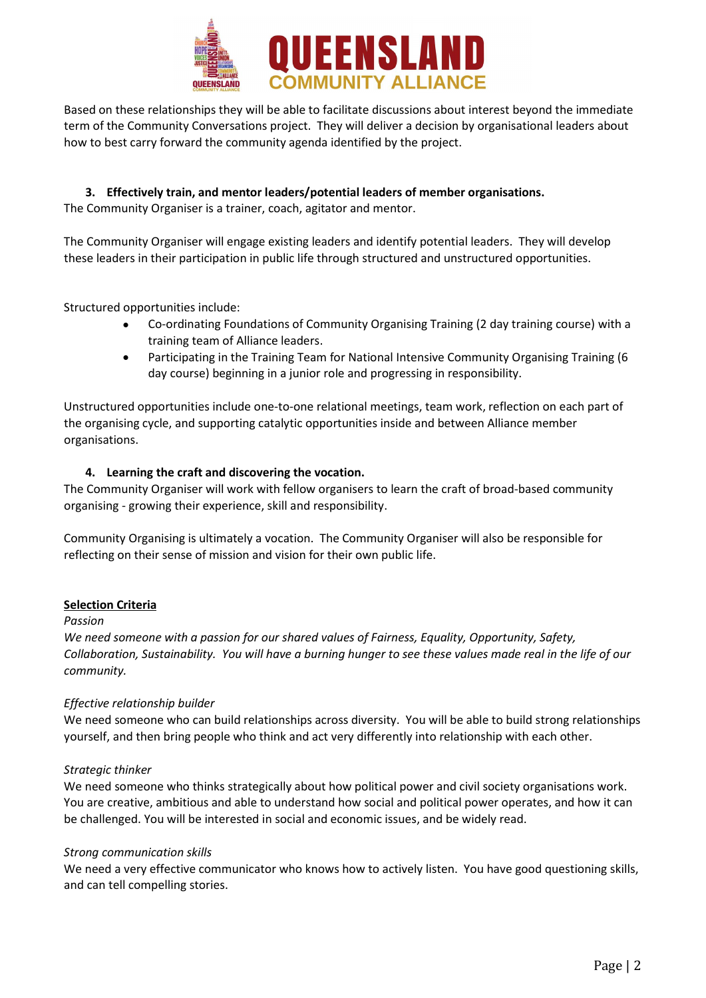

Based on these relationships they will be able to facilitate discussions about interest beyond the immediate term of the Community Conversations project. They will deliver a decision by organisational leaders about how to best carry forward the community agenda identified by the project.

3. Effectively train, and mentor leaders/potential leaders of member organisations. The Community Organiser is a trainer, coach, agitator and mentor.

The Community Organiser will engage existing leaders and identify potential leaders. They will develop these leaders in their participation in public life through structured and unstructured opportunities.

Structured opportunities include:

- Co-ordinating Foundations of Community Organising Training (2 day training course) with a training team of Alliance leaders.
- Participating in the Training Team for National Intensive Community Organising Training (6 day course) beginning in a junior role and progressing in responsibility.

Unstructured opportunities include one-to-one relational meetings, team work, reflection on each part of the organising cycle, and supporting catalytic opportunities inside and between Alliance member organisations.

## 4. Learning the craft and discovering the vocation.

The Community Organiser will work with fellow organisers to learn the craft of broad-based community organising - growing their experience, skill and responsibility.

Community Organising is ultimately a vocation. The Community Organiser will also be responsible for reflecting on their sense of mission and vision for their own public life.

#### Selection Criteria

#### Passion

We need someone with a passion for our shared values of Fairness, Equality, Opportunity, Safety, Collaboration, Sustainability. You will have a burning hunger to see these values made real in the life of our community.

#### Effective relationship builder

We need someone who can build relationships across diversity. You will be able to build strong relationships yourself, and then bring people who think and act very differently into relationship with each other.

#### Strategic thinker

We need someone who thinks strategically about how political power and civil society organisations work. You are creative, ambitious and able to understand how social and political power operates, and how it can be challenged. You will be interested in social and economic issues, and be widely read.

#### Strong communication skills

We need a very effective communicator who knows how to actively listen. You have good questioning skills, and can tell compelling stories.